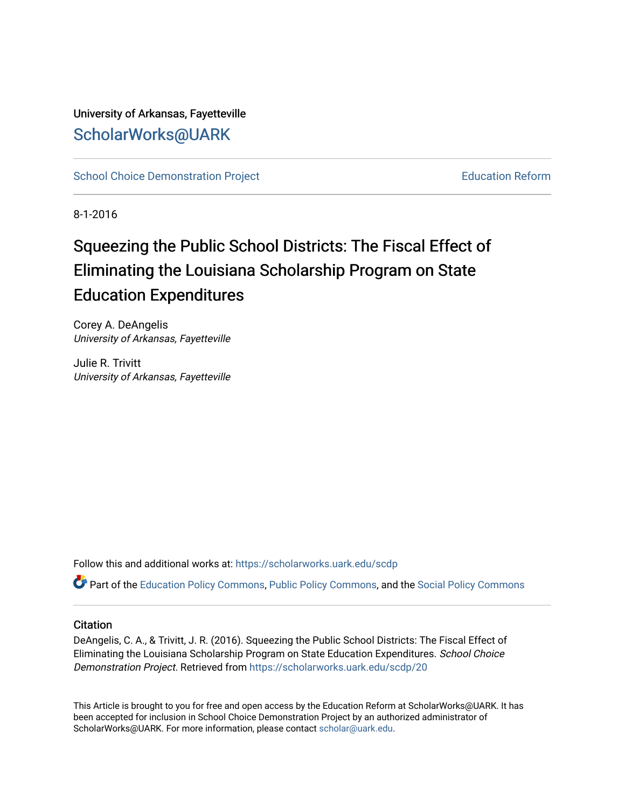University of Arkansas, Fayetteville [ScholarWorks@UARK](https://scholarworks.uark.edu/) 

[School Choice Demonstration Project](https://scholarworks.uark.edu/scdp) **Education Reform** Education Reform

8-1-2016

# Squeezing the Public School Districts: The Fiscal Effect of Eliminating the Louisiana Scholarship Program on State Education Expenditures

Corey A. DeAngelis University of Arkansas, Fayetteville

Julie R. Trivitt University of Arkansas, Fayetteville

Follow this and additional works at: [https://scholarworks.uark.edu/scdp](https://scholarworks.uark.edu/scdp?utm_source=scholarworks.uark.edu%2Fscdp%2F20&utm_medium=PDF&utm_campaign=PDFCoverPages) 

Part of the [Education Policy Commons](http://network.bepress.com/hgg/discipline/1026?utm_source=scholarworks.uark.edu%2Fscdp%2F20&utm_medium=PDF&utm_campaign=PDFCoverPages), [Public Policy Commons](http://network.bepress.com/hgg/discipline/400?utm_source=scholarworks.uark.edu%2Fscdp%2F20&utm_medium=PDF&utm_campaign=PDFCoverPages), and the [Social Policy Commons](http://network.bepress.com/hgg/discipline/1030?utm_source=scholarworks.uark.edu%2Fscdp%2F20&utm_medium=PDF&utm_campaign=PDFCoverPages)

#### **Citation**

DeAngelis, C. A., & Trivitt, J. R. (2016). Squeezing the Public School Districts: The Fiscal Effect of Eliminating the Louisiana Scholarship Program on State Education Expenditures. School Choice Demonstration Project. Retrieved from [https://scholarworks.uark.edu/scdp/20](https://scholarworks.uark.edu/scdp/20?utm_source=scholarworks.uark.edu%2Fscdp%2F20&utm_medium=PDF&utm_campaign=PDFCoverPages) 

This Article is brought to you for free and open access by the Education Reform at ScholarWorks@UARK. It has been accepted for inclusion in School Choice Demonstration Project by an authorized administrator of ScholarWorks@UARK. For more information, please contact [scholar@uark.edu](mailto:scholar@uark.edu).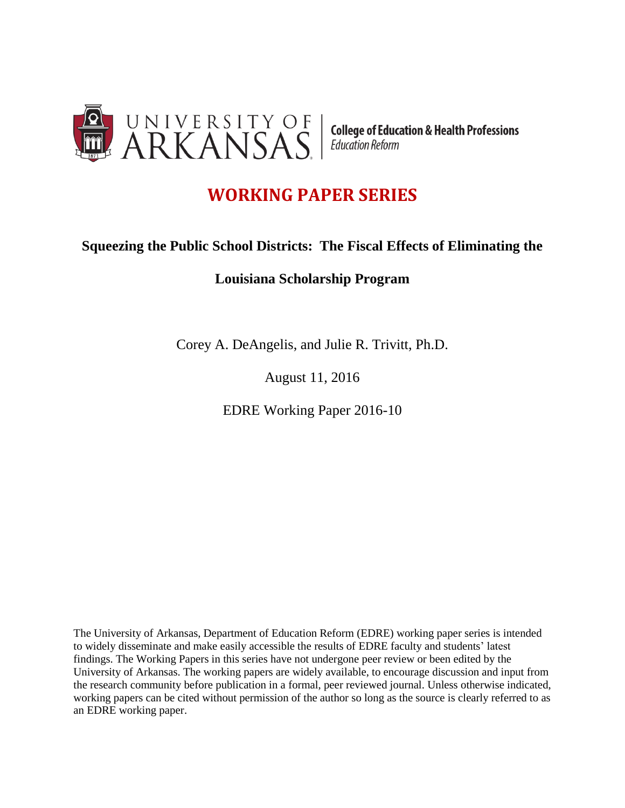

## **WORKING PAPER SERIES**

## **Squeezing the Public School Districts: The Fiscal Effects of Eliminating the**

### **Louisiana Scholarship Program**

Corey A. DeAngelis, and Julie R. Trivitt, Ph.D.

August 11, 2016

EDRE Working Paper 2016-10

The University of Arkansas, Department of Education Reform (EDRE) working paper series is intended to widely disseminate and make easily accessible the results of EDRE faculty and students' latest findings. The Working Papers in this series have not undergone peer review or been edited by the University of Arkansas. The working papers are widely available, to encourage discussion and input from the research community before publication in a formal, peer reviewed journal. Unless otherwise indicated, working papers can be cited without permission of the author so long as the source is clearly referred to as an EDRE working paper.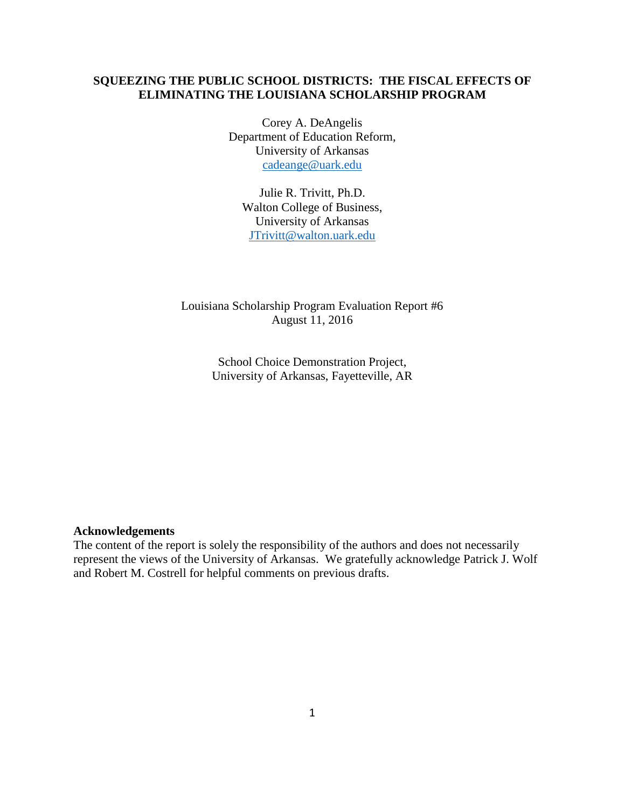#### **SQUEEZING THE PUBLIC SCHOOL DISTRICTS: THE FISCAL EFFECTS OF ELIMINATING THE LOUISIANA SCHOLARSHIP PROGRAM**

Corey A. DeAngelis Department of Education Reform, University of Arkansas [cadeange@uark.edu](mailto:cadeange@uark.edu)

Julie R. Trivitt, Ph.D. Walton College of Business, University of Arkansas [JTrivitt@walton.uark.edu](mailto:JTrivitt@walton.uark.edu)

Louisiana Scholarship Program Evaluation Report #6 August 11, 2016

> School Choice Demonstration Project, University of Arkansas, Fayetteville, AR

#### **Acknowledgements**

The content of the report is solely the responsibility of the authors and does not necessarily represent the views of the University of Arkansas. We gratefully acknowledge Patrick J. Wolf and Robert M. Costrell for helpful comments on previous drafts.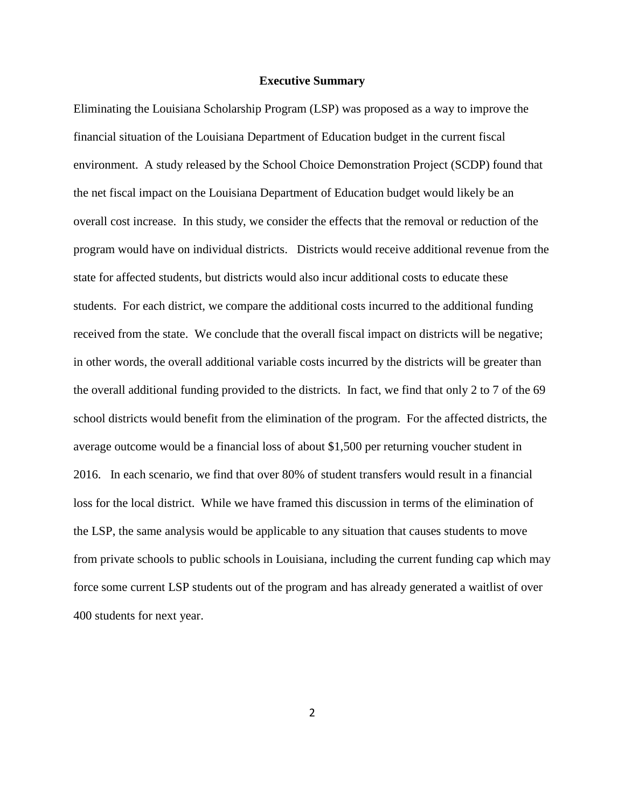#### **Executive Summary**

Eliminating the Louisiana Scholarship Program (LSP) was proposed as a way to improve the financial situation of the Louisiana Department of Education budget in the current fiscal environment. A study released by the School Choice Demonstration Project (SCDP) found that the net fiscal impact on the Louisiana Department of Education budget would likely be an overall cost increase. In this study, we consider the effects that the removal or reduction of the program would have on individual districts. Districts would receive additional revenue from the state for affected students, but districts would also incur additional costs to educate these students. For each district, we compare the additional costs incurred to the additional funding received from the state. We conclude that the overall fiscal impact on districts will be negative; in other words, the overall additional variable costs incurred by the districts will be greater than the overall additional funding provided to the districts. In fact, we find that only 2 to 7 of the 69 school districts would benefit from the elimination of the program. For the affected districts, the average outcome would be a financial loss of about \$1,500 per returning voucher student in 2016. In each scenario, we find that over 80% of student transfers would result in a financial loss for the local district. While we have framed this discussion in terms of the elimination of the LSP, the same analysis would be applicable to any situation that causes students to move from private schools to public schools in Louisiana, including the current funding cap which may force some current LSP students out of the program and has already generated a waitlist of over 400 students for next year.

2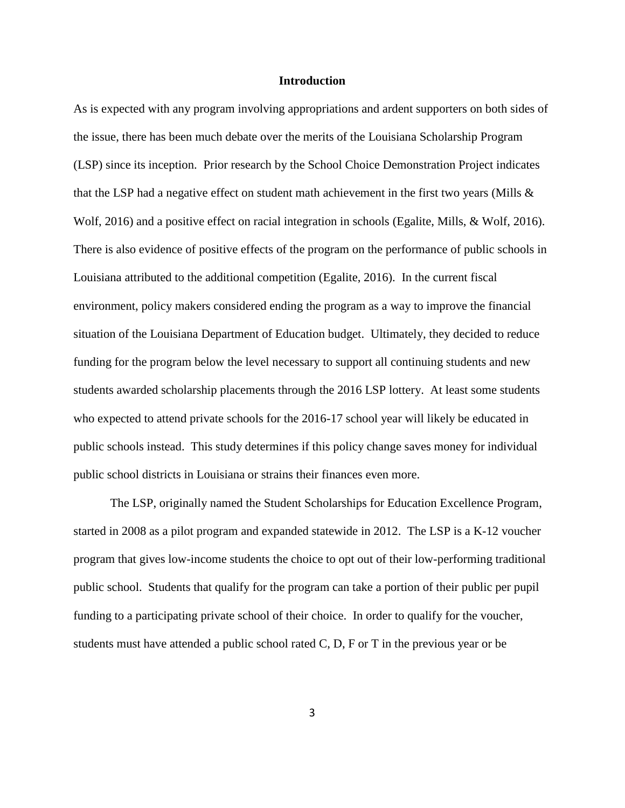#### **Introduction**

As is expected with any program involving appropriations and ardent supporters on both sides of the issue, there has been much debate over the merits of the Louisiana Scholarship Program (LSP) since its inception. Prior research by the School Choice Demonstration Project indicates that the LSP had a negative effect on student math achievement in the first two years (Mills  $\&$ Wolf, 2016) and a positive effect on racial integration in schools (Egalite, Mills, & Wolf, 2016). There is also evidence of positive effects of the program on the performance of public schools in Louisiana attributed to the additional competition (Egalite, 2016). In the current fiscal environment, policy makers considered ending the program as a way to improve the financial situation of the Louisiana Department of Education budget. Ultimately, they decided to reduce funding for the program below the level necessary to support all continuing students and new students awarded scholarship placements through the 2016 LSP lottery. At least some students who expected to attend private schools for the 2016-17 school year will likely be educated in public schools instead. This study determines if this policy change saves money for individual public school districts in Louisiana or strains their finances even more.

The LSP, originally named the Student Scholarships for Education Excellence Program, started in 2008 as a pilot program and expanded statewide in 2012. The LSP is a K-12 voucher program that gives low-income students the choice to opt out of their low-performing traditional public school. Students that qualify for the program can take a portion of their public per pupil funding to a participating private school of their choice. In order to qualify for the voucher, students must have attended a public school rated C, D, F or T in the previous year or be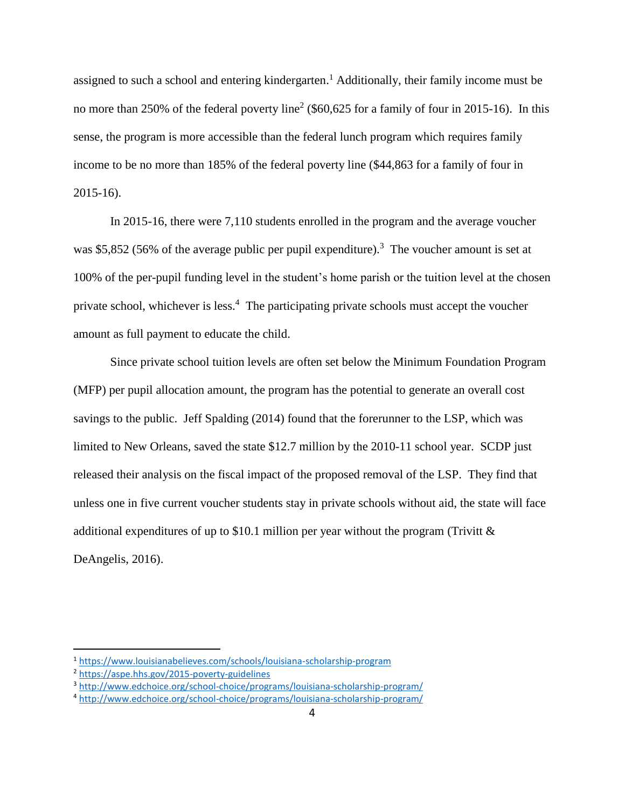assigned to such a school and entering kindergarten.<sup>1</sup> Additionally, their family income must be no more than 250% of the federal poverty line<sup>2</sup> (\$60,625 for a family of four in 2015-16). In this sense, the program is more accessible than the federal lunch program which requires family income to be no more than 185% of the federal poverty line (\$44,863 for a family of four in 2015-16).

In 2015-16, there were 7,110 students enrolled in the program and the average voucher was \$5,852 (56% of the average public per pupil expenditure).<sup>3</sup> The voucher amount is set at 100% of the per-pupil funding level in the student's home parish or the tuition level at the chosen private school, whichever is less.<sup>4</sup> The participating private schools must accept the voucher amount as full payment to educate the child.

Since private school tuition levels are often set below the Minimum Foundation Program (MFP) per pupil allocation amount, the program has the potential to generate an overall cost savings to the public. Jeff Spalding (2014) found that the forerunner to the LSP, which was limited to New Orleans, saved the state \$12.7 million by the 2010-11 school year. SCDP just released their analysis on the fiscal impact of the proposed removal of the LSP. They find that unless one in five current voucher students stay in private schools without aid, the state will face additional expenditures of up to \$10.1 million per year without the program (Trivitt  $\&$ DeAngelis, 2016).

<sup>1</sup> <https://www.louisianabelieves.com/schools/louisiana-scholarship-program>

<sup>2</sup> <https://aspe.hhs.gov/2015-poverty-guidelines>

<sup>3</sup> <http://www.edchoice.org/school-choice/programs/louisiana-scholarship-program/>

<sup>4</sup> <http://www.edchoice.org/school-choice/programs/louisiana-scholarship-program/>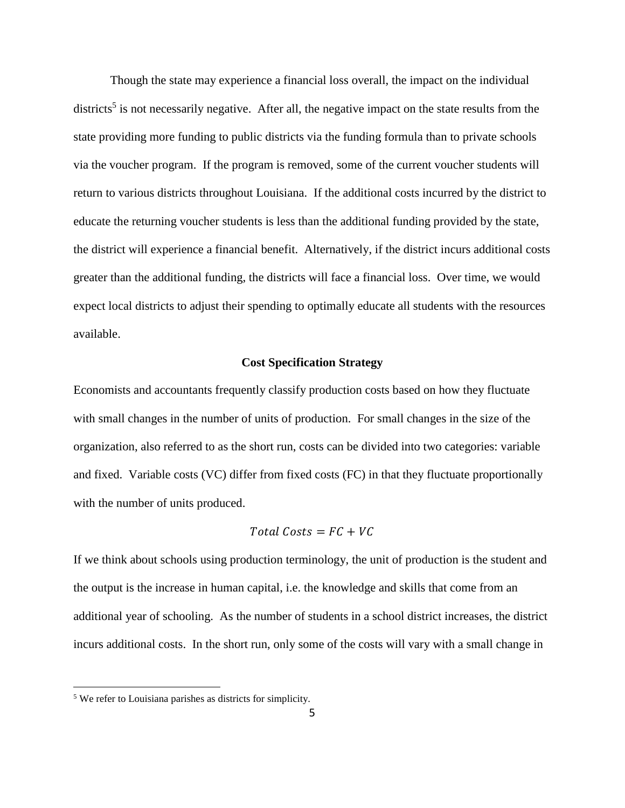Though the state may experience a financial loss overall, the impact on the individual districts<sup>5</sup> is not necessarily negative. After all, the negative impact on the state results from the state providing more funding to public districts via the funding formula than to private schools via the voucher program. If the program is removed, some of the current voucher students will return to various districts throughout Louisiana. If the additional costs incurred by the district to educate the returning voucher students is less than the additional funding provided by the state, the district will experience a financial benefit. Alternatively, if the district incurs additional costs greater than the additional funding, the districts will face a financial loss. Over time, we would expect local districts to adjust their spending to optimally educate all students with the resources available.

#### **Cost Specification Strategy**

Economists and accountants frequently classify production costs based on how they fluctuate with small changes in the number of units of production. For small changes in the size of the organization, also referred to as the short run, costs can be divided into two categories: variable and fixed. Variable costs (VC) differ from fixed costs (FC) in that they fluctuate proportionally with the number of units produced.

#### Total Costs =  $FC + VC$

If we think about schools using production terminology, the unit of production is the student and the output is the increase in human capital, i.e. the knowledge and skills that come from an additional year of schooling. As the number of students in a school district increases, the district incurs additional costs. In the short run, only some of the costs will vary with a small change in

<sup>5</sup> We refer to Louisiana parishes as districts for simplicity.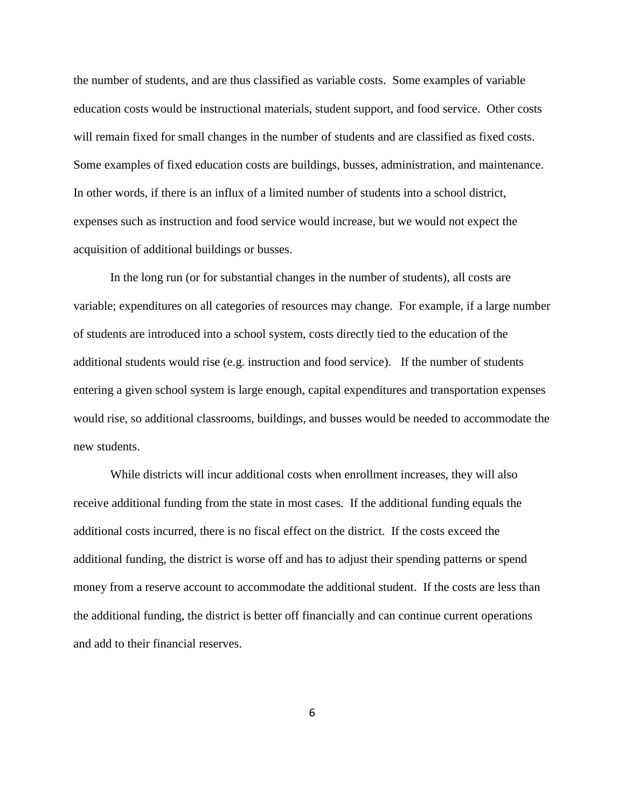the number of students, and are thus classified as variable costs. Some examples of variable education costs would be instructional materials, student support, and food service. Other costs will remain fixed for small changes in the number of students and are classified as fixed costs. Some examples of fixed education costs are buildings, busses, administration, and maintenance. In other words, if there is an influx of a limited number of students into a school district, expenses such as instruction and food service would increase, but we would not expect the acquisition of additional buildings or busses.

In the long run (or for substantial changes in the number of students), all costs are variable; expenditures on all categories of resources may change. For example, if a large number of students are introduced into a school system, costs directly tied to the education of the additional students would rise (e.g. instruction and food service). If the number of students entering a given school system is large enough, capital expenditures and transportation expenses would rise, so additional classrooms, buildings, and busses would be needed to accommodate the new students.

While districts will incur additional costs when enrollment increases, they will also receive additional funding from the state in most cases. If the additional funding equals the additional costs incurred, there is no fiscal effect on the district. If the costs exceed the additional funding, the district is worse off and has to adjust their spending patterns or spend money from a reserve account to accommodate the additional student. If the costs are less than the additional funding, the district is better off financially and can continue current operations and add to their financial reserves.

6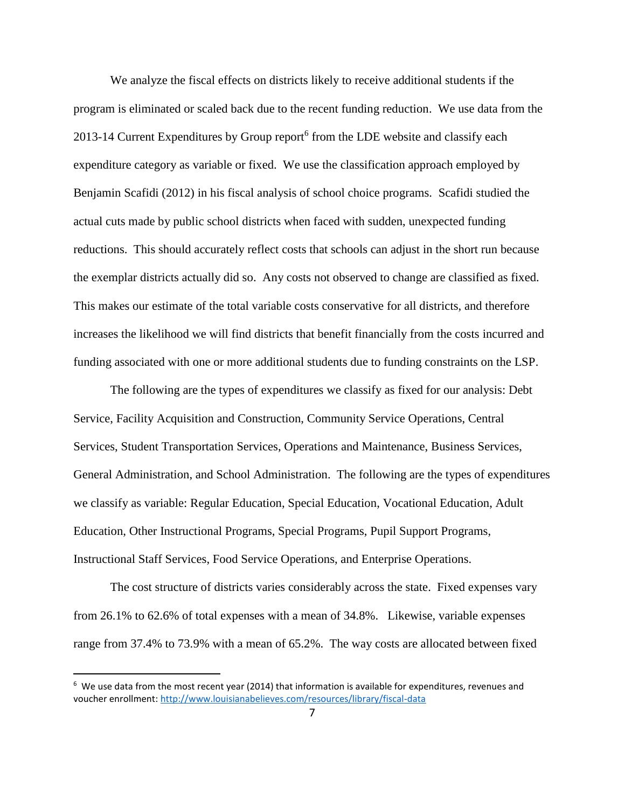We analyze the fiscal effects on districts likely to receive additional students if the program is eliminated or scaled back due to the recent funding reduction. We use data from the 2013-14 Current Expenditures by Group report<sup>6</sup> from the LDE website and classify each expenditure category as variable or fixed. We use the classification approach employed by Benjamin Scafidi (2012) in his fiscal analysis of school choice programs. Scafidi studied the actual cuts made by public school districts when faced with sudden, unexpected funding reductions. This should accurately reflect costs that schools can adjust in the short run because the exemplar districts actually did so. Any costs not observed to change are classified as fixed. This makes our estimate of the total variable costs conservative for all districts, and therefore increases the likelihood we will find districts that benefit financially from the costs incurred and funding associated with one or more additional students due to funding constraints on the LSP.

The following are the types of expenditures we classify as fixed for our analysis: Debt Service, Facility Acquisition and Construction, Community Service Operations, Central Services, Student Transportation Services, Operations and Maintenance, Business Services, General Administration, and School Administration. The following are the types of expenditures we classify as variable: Regular Education, Special Education, Vocational Education, Adult Education, Other Instructional Programs, Special Programs, Pupil Support Programs, Instructional Staff Services, Food Service Operations, and Enterprise Operations.

The cost structure of districts varies considerably across the state. Fixed expenses vary from 26.1% to 62.6% of total expenses with a mean of 34.8%. Likewise, variable expenses range from 37.4% to 73.9% with a mean of 65.2%. The way costs are allocated between fixed

<sup>6</sup> We use data from the most recent year (2014) that information is available for expenditures, revenues and voucher enrollment:<http://www.louisianabelieves.com/resources/library/fiscal-data>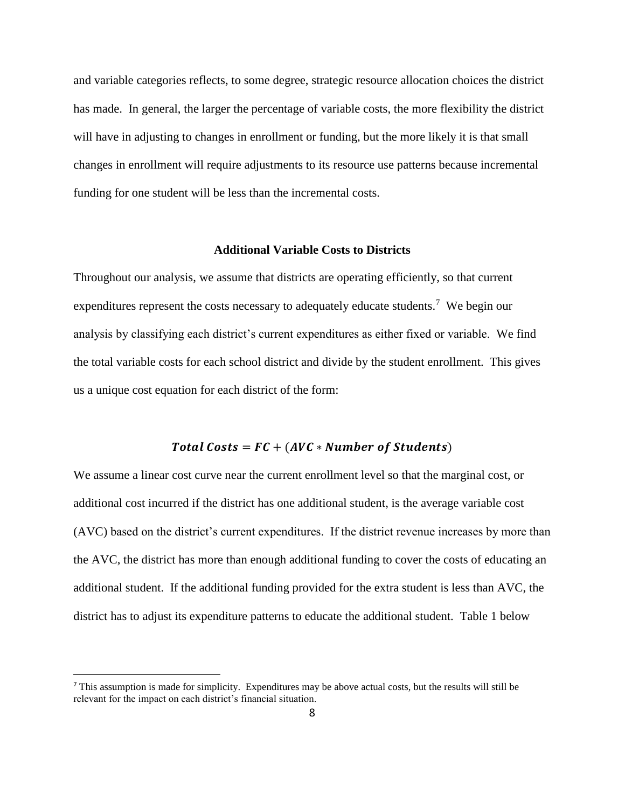and variable categories reflects, to some degree, strategic resource allocation choices the district has made. In general, the larger the percentage of variable costs, the more flexibility the district will have in adjusting to changes in enrollment or funding, but the more likely it is that small changes in enrollment will require adjustments to its resource use patterns because incremental funding for one student will be less than the incremental costs.

#### **Additional Variable Costs to Districts**

Throughout our analysis, we assume that districts are operating efficiently, so that current expenditures represent the costs necessary to adequately educate students.<sup>7</sup> We begin our analysis by classifying each district's current expenditures as either fixed or variable. We find the total variable costs for each school district and divide by the student enrollment. This gives us a unique cost equation for each district of the form:

#### Total Costs =  $FC + (AVC * Number of Students)$

We assume a linear cost curve near the current enrollment level so that the marginal cost, or additional cost incurred if the district has one additional student, is the average variable cost (AVC) based on the district's current expenditures. If the district revenue increases by more than the AVC, the district has more than enough additional funding to cover the costs of educating an additional student. If the additional funding provided for the extra student is less than AVC, the district has to adjust its expenditure patterns to educate the additional student. Table 1 below

<sup>7</sup> This assumption is made for simplicity. Expenditures may be above actual costs, but the results will still be relevant for the impact on each district's financial situation.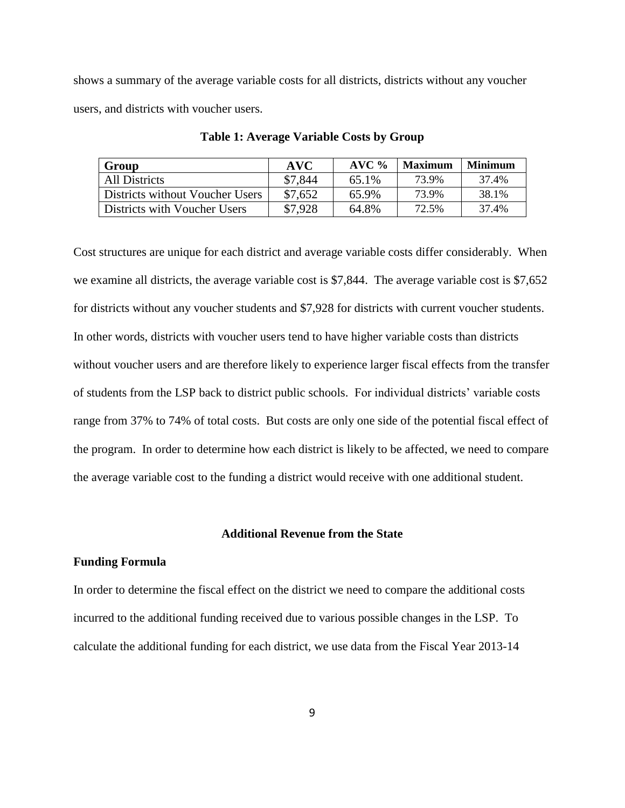shows a summary of the average variable costs for all districts, districts without any voucher users, and districts with voucher users.

| Group                                  | <b>AVC</b> | $AVC$ % | <b>Maximum</b> | <b>Minimum</b> |
|----------------------------------------|------------|---------|----------------|----------------|
| All Districts                          | \$7.844    | 65.1%   | 73.9%          | 37.4%          |
| <b>Districts without Voucher Users</b> | \$7,652    | 65.9%   | 73.9%          | 38.1%          |
| Districts with Voucher Users           | \$7,928    | 64.8%   | 72.5%          | 37.4%          |

**Table 1: Average Variable Costs by Group**

Cost structures are unique for each district and average variable costs differ considerably. When we examine all districts, the average variable cost is \$7,844. The average variable cost is \$7,652 for districts without any voucher students and \$7,928 for districts with current voucher students. In other words, districts with voucher users tend to have higher variable costs than districts without voucher users and are therefore likely to experience larger fiscal effects from the transfer of students from the LSP back to district public schools. For individual districts' variable costs range from 37% to 74% of total costs. But costs are only one side of the potential fiscal effect of the program. In order to determine how each district is likely to be affected, we need to compare the average variable cost to the funding a district would receive with one additional student.

#### **Additional Revenue from the State**

#### **Funding Formula**

In order to determine the fiscal effect on the district we need to compare the additional costs incurred to the additional funding received due to various possible changes in the LSP. To calculate the additional funding for each district, we use data from the Fiscal Year 2013-14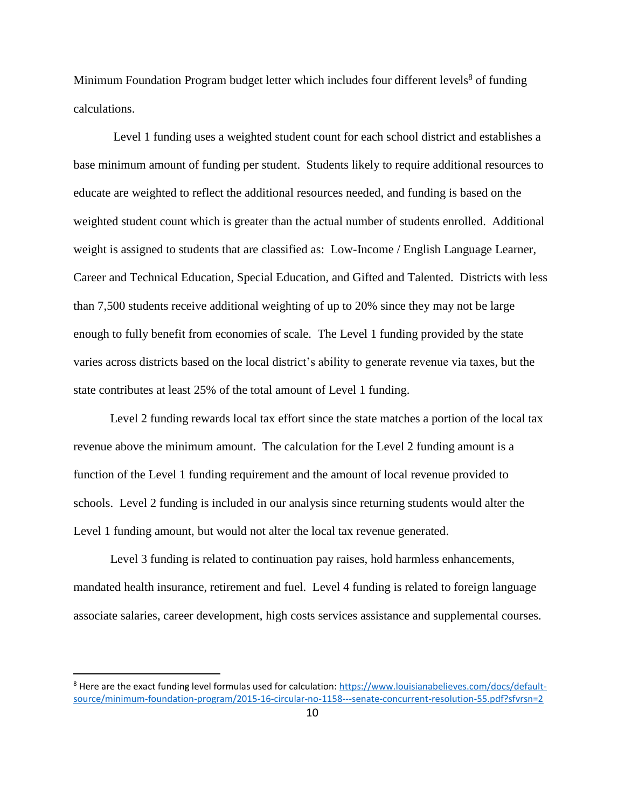Minimum Foundation Program budget letter which includes four different levels<sup>8</sup> of funding calculations.

Level 1 funding uses a weighted student count for each school district and establishes a base minimum amount of funding per student. Students likely to require additional resources to educate are weighted to reflect the additional resources needed, and funding is based on the weighted student count which is greater than the actual number of students enrolled. Additional weight is assigned to students that are classified as: Low-Income / English Language Learner, Career and Technical Education, Special Education, and Gifted and Talented. Districts with less than 7,500 students receive additional weighting of up to 20% since they may not be large enough to fully benefit from economies of scale. The Level 1 funding provided by the state varies across districts based on the local district's ability to generate revenue via taxes, but the state contributes at least 25% of the total amount of Level 1 funding.

Level 2 funding rewards local tax effort since the state matches a portion of the local tax revenue above the minimum amount. The calculation for the Level 2 funding amount is a function of the Level 1 funding requirement and the amount of local revenue provided to schools. Level 2 funding is included in our analysis since returning students would alter the Level 1 funding amount, but would not alter the local tax revenue generated.

Level 3 funding is related to continuation pay raises, hold harmless enhancements, mandated health insurance, retirement and fuel. Level 4 funding is related to foreign language associate salaries, career development, high costs services assistance and supplemental courses.

<sup>&</sup>lt;sup>8</sup> Here are the exact funding level formulas used for calculation[: https://www.louisianabelieves.com/docs/default](https://www.louisianabelieves.com/docs/default-source/minimum-foundation-program/2015-16-circular-no-1158---senate-concurrent-resolution-55.pdf?sfvrsn=2)[source/minimum-foundation-program/2015-16-circular-no-1158---senate-concurrent-resolution-55.pdf?sfvrsn=2](https://www.louisianabelieves.com/docs/default-source/minimum-foundation-program/2015-16-circular-no-1158---senate-concurrent-resolution-55.pdf?sfvrsn=2)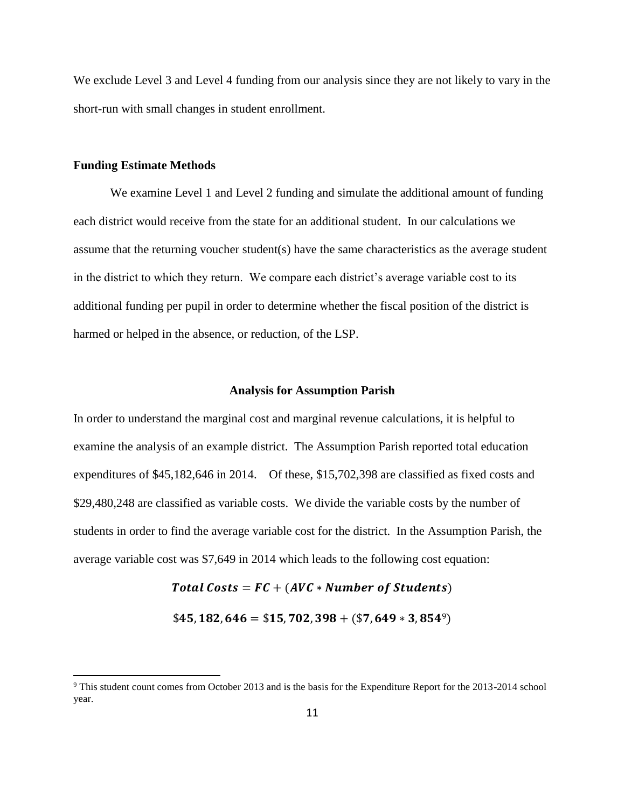We exclude Level 3 and Level 4 funding from our analysis since they are not likely to vary in the short-run with small changes in student enrollment.

#### **Funding Estimate Methods**

 $\overline{a}$ 

We examine Level 1 and Level 2 funding and simulate the additional amount of funding each district would receive from the state for an additional student. In our calculations we assume that the returning voucher student(s) have the same characteristics as the average student in the district to which they return. We compare each district's average variable cost to its additional funding per pupil in order to determine whether the fiscal position of the district is harmed or helped in the absence, or reduction, of the LSP.

#### **Analysis for Assumption Parish**

In order to understand the marginal cost and marginal revenue calculations, it is helpful to examine the analysis of an example district. The Assumption Parish reported total education expenditures of \$45,182,646 in 2014. Of these, \$15,702,398 are classified as fixed costs and \$29,480,248 are classified as variable costs. We divide the variable costs by the number of students in order to find the average variable cost for the district. In the Assumption Parish, the average variable cost was \$7,649 in 2014 which leads to the following cost equation:

> Total Costs =  $FC + (AVC * Number of Students)$  $$45, 182, 646 = $15, 702, 398 + $7, 649 * $3, 854^{\circ}$$

<sup>9</sup> This student count comes from October 2013 and is the basis for the Expenditure Report for the 2013-2014 school year.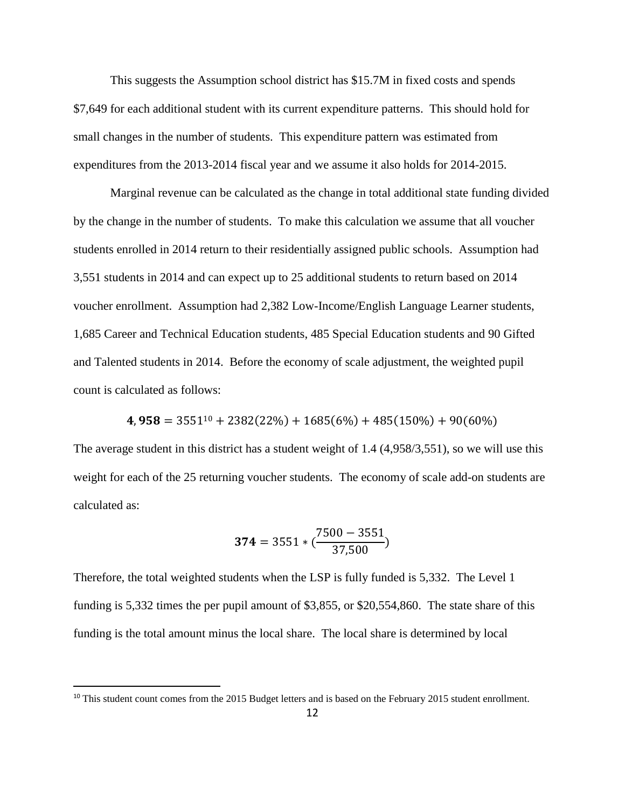This suggests the Assumption school district has \$15.7M in fixed costs and spends \$7,649 for each additional student with its current expenditure patterns. This should hold for small changes in the number of students. This expenditure pattern was estimated from expenditures from the 2013-2014 fiscal year and we assume it also holds for 2014-2015.

Marginal revenue can be calculated as the change in total additional state funding divided by the change in the number of students. To make this calculation we assume that all voucher students enrolled in 2014 return to their residentially assigned public schools. Assumption had 3,551 students in 2014 and can expect up to 25 additional students to return based on 2014 voucher enrollment. Assumption had 2,382 Low-Income/English Language Learner students, 1,685 Career and Technical Education students, 485 Special Education students and 90 Gifted and Talented students in 2014. Before the economy of scale adjustment, the weighted pupil count is calculated as follows:

 $4,958 = 3551^{10} + 2382(22%) + 1685(6%) + 485(150%) + 90(60%)$ 

The average student in this district has a student weight of 1.4 (4,958/3,551), so we will use this weight for each of the 25 returning voucher students. The economy of scale add-on students are calculated as:

$$
\mathbf{374} = 3551 * (\frac{7500 - 3551}{37,500})
$$

Therefore, the total weighted students when the LSP is fully funded is 5,332. The Level 1 funding is 5,332 times the per pupil amount of \$3,855, or \$20,554,860. The state share of this funding is the total amount minus the local share. The local share is determined by local

<sup>&</sup>lt;sup>10</sup> This student count comes from the 2015 Budget letters and is based on the February 2015 student enrollment.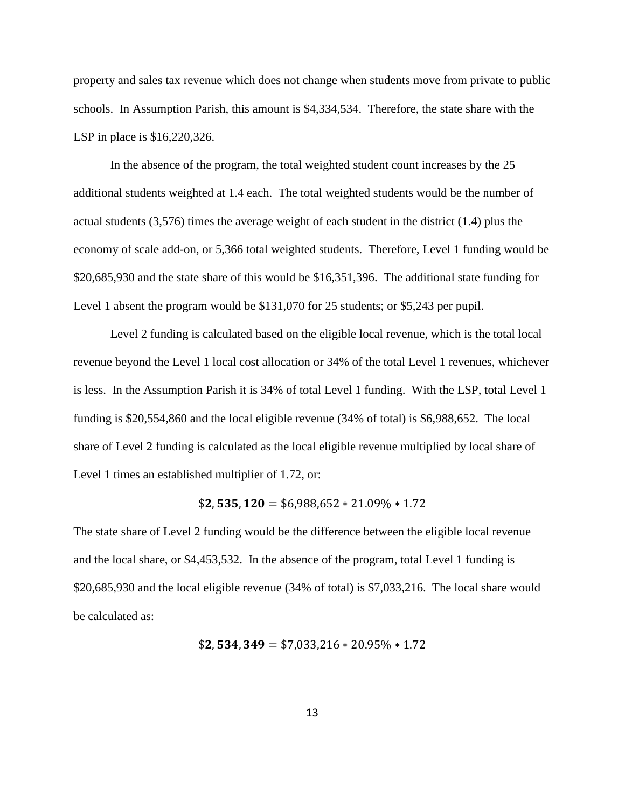property and sales tax revenue which does not change when students move from private to public schools. In Assumption Parish, this amount is \$4,334,534. Therefore, the state share with the LSP in place is \$16,220,326.

In the absence of the program, the total weighted student count increases by the 25 additional students weighted at 1.4 each. The total weighted students would be the number of actual students (3,576) times the average weight of each student in the district (1.4) plus the economy of scale add-on, or 5,366 total weighted students. Therefore, Level 1 funding would be \$20,685,930 and the state share of this would be \$16,351,396. The additional state funding for Level 1 absent the program would be \$131,070 for 25 students; or \$5,243 per pupil.

Level 2 funding is calculated based on the eligible local revenue, which is the total local revenue beyond the Level 1 local cost allocation or 34% of the total Level 1 revenues, whichever is less. In the Assumption Parish it is 34% of total Level 1 funding. With the LSP, total Level 1 funding is \$20,554,860 and the local eligible revenue (34% of total) is \$6,988,652. The local share of Level 2 funding is calculated as the local eligible revenue multiplied by local share of Level 1 times an established multiplier of 1.72, or:

#### $$2,535,120 = $6,988,652 * 21.09\% * 1.72$

The state share of Level 2 funding would be the difference between the eligible local revenue and the local share, or \$4,453,532. In the absence of the program, total Level 1 funding is \$20,685,930 and the local eligible revenue (34% of total) is \$7,033,216. The local share would be calculated as:

\$, , = \$7,033,216 ∗ 20.95% ∗ 1.72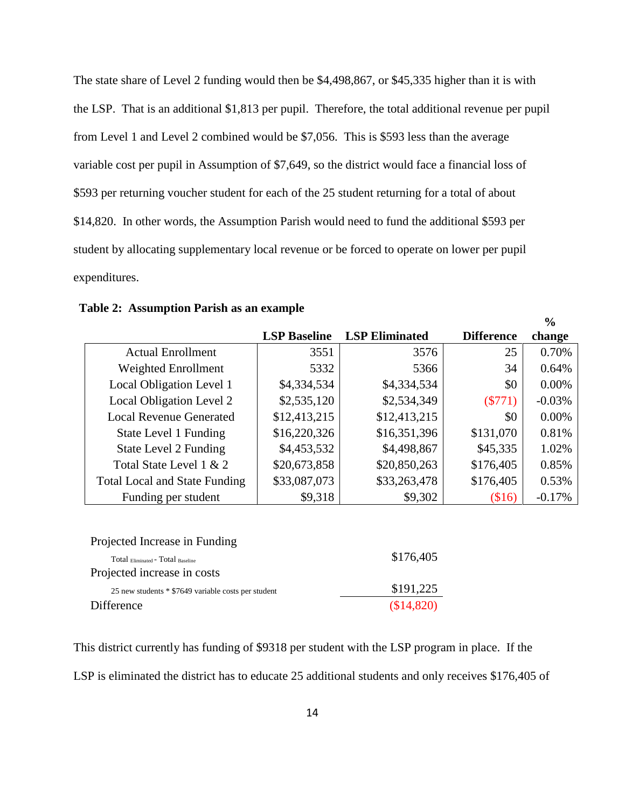The state share of Level 2 funding would then be \$4,498,867, or \$45,335 higher than it is with the LSP. That is an additional \$1,813 per pupil. Therefore, the total additional revenue per pupil from Level 1 and Level 2 combined would be \$7,056. This is \$593 less than the average variable cost per pupil in Assumption of \$7,649, so the district would face a financial loss of \$593 per returning voucher student for each of the 25 student returning for a total of about \$14,820. In other words, the Assumption Parish would need to fund the additional \$593 per student by allocating supplementary local revenue or be forced to operate on lower per pupil expenditures.

|                                      |                     |                       |                   | $\frac{0}{0}$ |
|--------------------------------------|---------------------|-----------------------|-------------------|---------------|
|                                      | <b>LSP Baseline</b> | <b>LSP Eliminated</b> | <b>Difference</b> | change        |
| <b>Actual Enrollment</b>             | 3551                | 3576                  | 25                | 0.70%         |
| Weighted Enrollment                  | 5332                | 5366                  | 34                | 0.64%         |
| Local Obligation Level 1             | \$4,334,534         | \$4,334,534           | \$0               | 0.00%         |
| Local Obligation Level 2             | \$2,535,120         | \$2,534,349           | $(\$771)$         | $-0.03%$      |
| <b>Local Revenue Generated</b>       | \$12,413,215        | \$12,413,215          | \$0               | 0.00%         |
| State Level 1 Funding                | \$16,220,326        | \$16,351,396          | \$131,070         | 0.81%         |
| State Level 2 Funding                | \$4,453,532         | \$4,498,867           | \$45,335          | 1.02%         |
| Total State Level 1 & 2              | \$20,673,858        | \$20,850,263          | \$176,405         | 0.85%         |
| <b>Total Local and State Funding</b> | \$33,087,073        | \$33,263,478          | \$176,405         | 0.53%         |
| Funding per student                  | \$9,318             | \$9,302               | \$16)             | $-0.17%$      |
|                                      |                     |                       |                   |               |
|                                      |                     |                       |                   |               |

| Projected Increase in Funding                       |            |
|-----------------------------------------------------|------------|
| Total Eliminated - Total Baseline                   | \$176,405  |
| Projected increase in costs                         |            |
| 25 new students * \$7649 variable costs per student | \$191,225  |
| Difference                                          | (\$14,820) |

This district currently has funding of \$9318 per student with the LSP program in place. If the LSP is eliminated the district has to educate 25 additional students and only receives \$176,405 of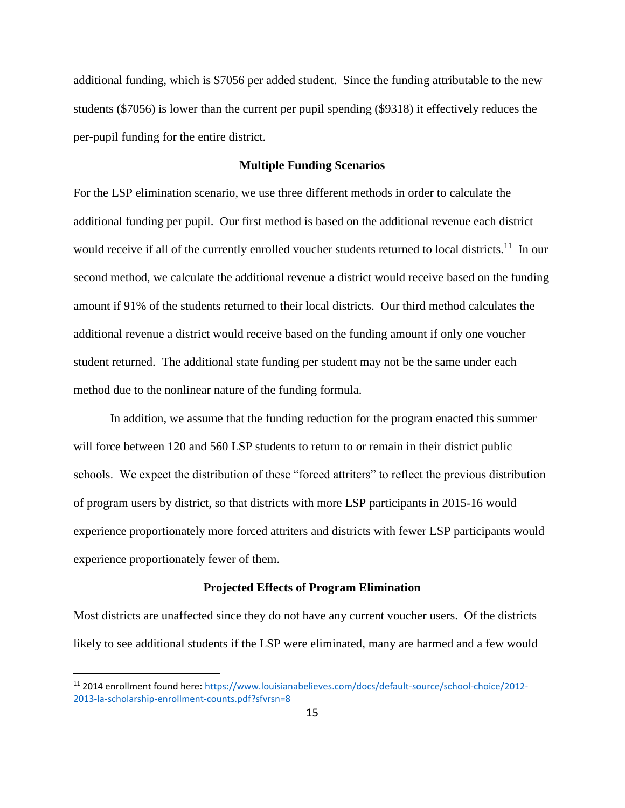additional funding, which is \$7056 per added student. Since the funding attributable to the new students (\$7056) is lower than the current per pupil spending (\$9318) it effectively reduces the per-pupil funding for the entire district.

#### **Multiple Funding Scenarios**

For the LSP elimination scenario, we use three different methods in order to calculate the additional funding per pupil. Our first method is based on the additional revenue each district would receive if all of the currently enrolled voucher students returned to local districts.<sup>11</sup> In our second method, we calculate the additional revenue a district would receive based on the funding amount if 91% of the students returned to their local districts. Our third method calculates the additional revenue a district would receive based on the funding amount if only one voucher student returned. The additional state funding per student may not be the same under each method due to the nonlinear nature of the funding formula.

In addition, we assume that the funding reduction for the program enacted this summer will force between 120 and 560 LSP students to return to or remain in their district public schools. We expect the distribution of these "forced attriters" to reflect the previous distribution of program users by district, so that districts with more LSP participants in 2015-16 would experience proportionately more forced attriters and districts with fewer LSP participants would experience proportionately fewer of them.

#### **Projected Effects of Program Elimination**

Most districts are unaffected since they do not have any current voucher users. Of the districts likely to see additional students if the LSP were eliminated, many are harmed and a few would

<sup>11</sup> 2014 enrollment found here: [https://www.louisianabelieves.com/docs/default-source/school-choice/2012-](https://www.louisianabelieves.com/docs/default-source/school-choice/2012-2013-la-scholarship-enrollment-counts.pdf?sfvrsn=8) [2013-la-scholarship-enrollment-counts.pdf?sfvrsn=8](https://www.louisianabelieves.com/docs/default-source/school-choice/2012-2013-la-scholarship-enrollment-counts.pdf?sfvrsn=8)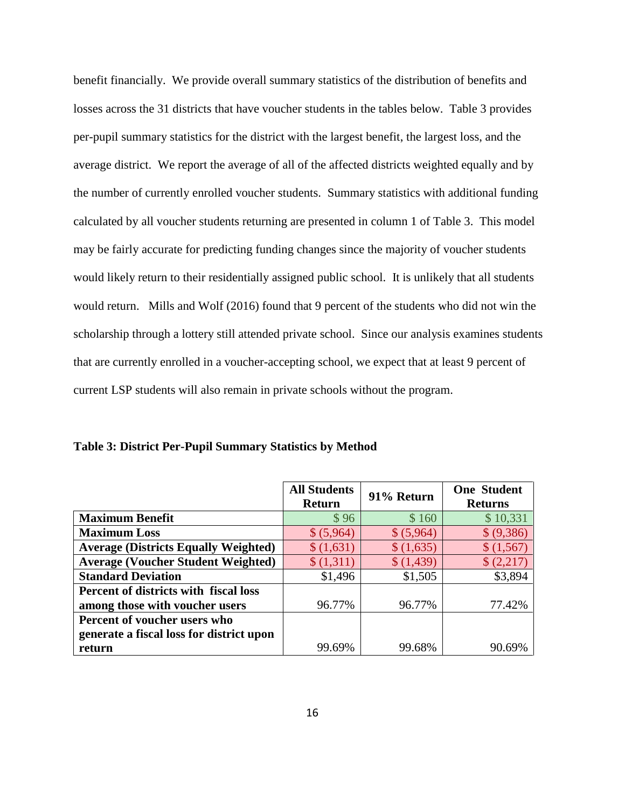benefit financially. We provide overall summary statistics of the distribution of benefits and losses across the 31 districts that have voucher students in the tables below. Table 3 provides per-pupil summary statistics for the district with the largest benefit, the largest loss, and the average district. We report the average of all of the affected districts weighted equally and by the number of currently enrolled voucher students. Summary statistics with additional funding calculated by all voucher students returning are presented in column 1 of Table 3. This model may be fairly accurate for predicting funding changes since the majority of voucher students would likely return to their residentially assigned public school. It is unlikely that all students would return. Mills and Wolf (2016) found that 9 percent of the students who did not win the scholarship through a lottery still attended private school. Since our analysis examines students that are currently enrolled in a voucher-accepting school, we expect that at least 9 percent of current LSP students will also remain in private schools without the program.

|                                              | <b>All Students</b><br><b>Return</b> | 91% Return | <b>One Student</b><br><b>Returns</b> |
|----------------------------------------------|--------------------------------------|------------|--------------------------------------|
| <b>Maximum Benefit</b>                       | \$96                                 | \$160      | \$10,331                             |
| <b>Maximum Loss</b>                          | \$ (5,964)                           | \$ (5,964) | \$ (9,386)                           |
| <b>Average (Districts Equally Weighted)</b>  | \$(1,631)                            | \$(1,635)  | \$(1,567)                            |
| <b>Average (Voucher Student Weighted)</b>    | \$(1,311)                            | \$(1,439)  | \$ (2,217)                           |
| <b>Standard Deviation</b>                    | \$1,496                              | \$1,505    | \$3,894                              |
| <b>Percent of districts with fiscal loss</b> |                                      |            |                                      |
| among those with voucher users               | 96.77%                               | 96.77%     | 77.42%                               |
| Percent of voucher users who                 |                                      |            |                                      |
| generate a fiscal loss for district upon     |                                      |            |                                      |
| return                                       | 99.69%                               | 99.68%     | 90.69%                               |

**Table 3: District Per-Pupil Summary Statistics by Method**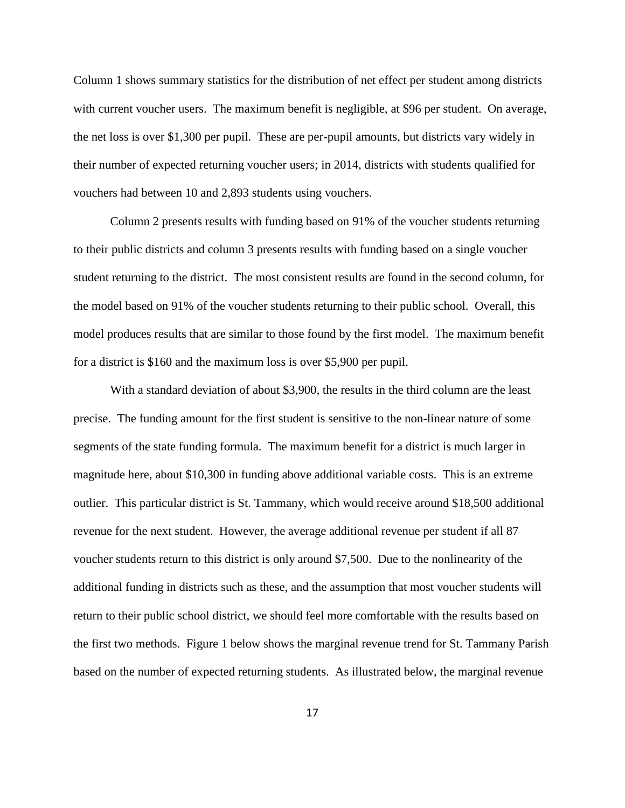Column 1 shows summary statistics for the distribution of net effect per student among districts with current voucher users. The maximum benefit is negligible, at \$96 per student. On average, the net loss is over \$1,300 per pupil. These are per-pupil amounts, but districts vary widely in their number of expected returning voucher users; in 2014, districts with students qualified for vouchers had between 10 and 2,893 students using vouchers.

Column 2 presents results with funding based on 91% of the voucher students returning to their public districts and column 3 presents results with funding based on a single voucher student returning to the district. The most consistent results are found in the second column, for the model based on 91% of the voucher students returning to their public school. Overall, this model produces results that are similar to those found by the first model. The maximum benefit for a district is \$160 and the maximum loss is over \$5,900 per pupil.

With a standard deviation of about \$3,900, the results in the third column are the least precise. The funding amount for the first student is sensitive to the non-linear nature of some segments of the state funding formula. The maximum benefit for a district is much larger in magnitude here, about \$10,300 in funding above additional variable costs. This is an extreme outlier. This particular district is St. Tammany, which would receive around \$18,500 additional revenue for the next student. However, the average additional revenue per student if all 87 voucher students return to this district is only around \$7,500. Due to the nonlinearity of the additional funding in districts such as these, and the assumption that most voucher students will return to their public school district, we should feel more comfortable with the results based on the first two methods. Figure 1 below shows the marginal revenue trend for St. Tammany Parish based on the number of expected returning students. As illustrated below, the marginal revenue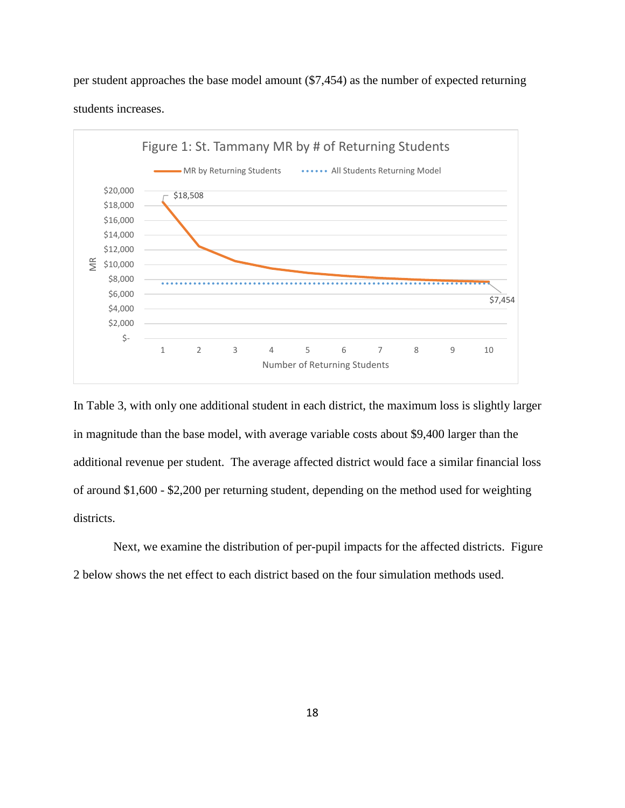per student approaches the base model amount (\$7,454) as the number of expected returning students increases.



In Table 3, with only one additional student in each district, the maximum loss is slightly larger in magnitude than the base model, with average variable costs about \$9,400 larger than the additional revenue per student. The average affected district would face a similar financial loss of around \$1,600 - \$2,200 per returning student, depending on the method used for weighting districts.

Next, we examine the distribution of per-pupil impacts for the affected districts. Figure 2 below shows the net effect to each district based on the four simulation methods used.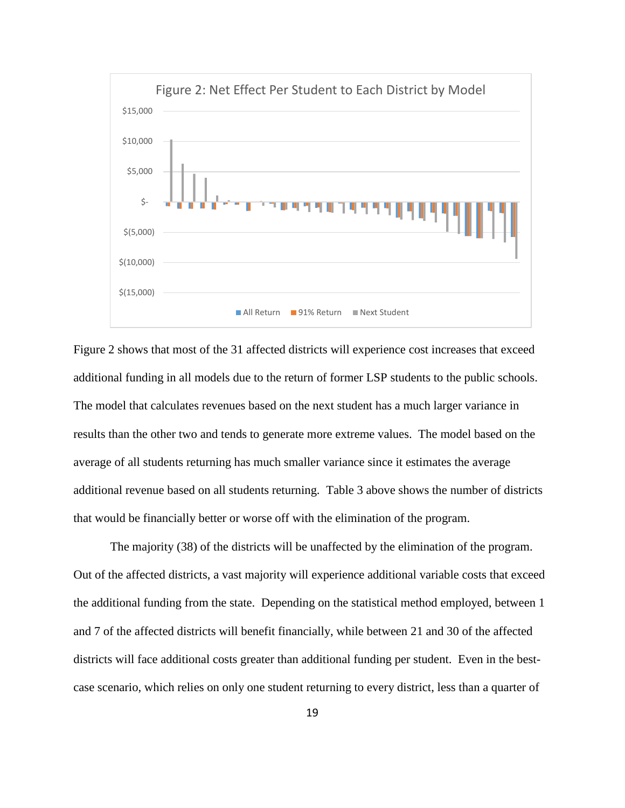

Figure 2 shows that most of the 31 affected districts will experience cost increases that exceed additional funding in all models due to the return of former LSP students to the public schools. The model that calculates revenues based on the next student has a much larger variance in results than the other two and tends to generate more extreme values. The model based on the average of all students returning has much smaller variance since it estimates the average additional revenue based on all students returning. Table 3 above shows the number of districts that would be financially better or worse off with the elimination of the program.

The majority (38) of the districts will be unaffected by the elimination of the program. Out of the affected districts, a vast majority will experience additional variable costs that exceed the additional funding from the state. Depending on the statistical method employed, between 1 and 7 of the affected districts will benefit financially, while between 21 and 30 of the affected districts will face additional costs greater than additional funding per student. Even in the bestcase scenario, which relies on only one student returning to every district, less than a quarter of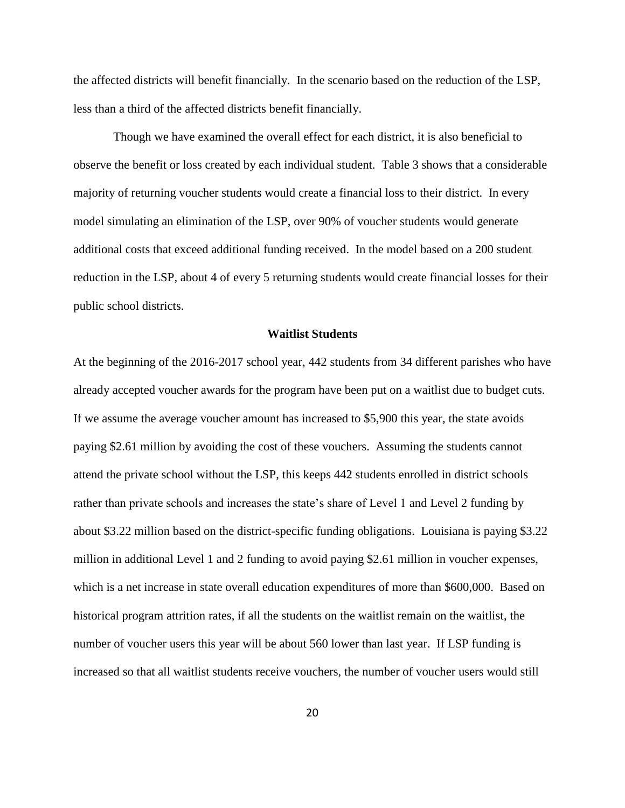the affected districts will benefit financially. In the scenario based on the reduction of the LSP, less than a third of the affected districts benefit financially.

Though we have examined the overall effect for each district, it is also beneficial to observe the benefit or loss created by each individual student. Table 3 shows that a considerable majority of returning voucher students would create a financial loss to their district. In every model simulating an elimination of the LSP, over 90% of voucher students would generate additional costs that exceed additional funding received. In the model based on a 200 student reduction in the LSP, about 4 of every 5 returning students would create financial losses for their public school districts.

#### **Waitlist Students**

At the beginning of the 2016-2017 school year, 442 students from 34 different parishes who have already accepted voucher awards for the program have been put on a waitlist due to budget cuts. If we assume the average voucher amount has increased to \$5,900 this year, the state avoids paying \$2.61 million by avoiding the cost of these vouchers. Assuming the students cannot attend the private school without the LSP, this keeps 442 students enrolled in district schools rather than private schools and increases the state's share of Level 1 and Level 2 funding by about \$3.22 million based on the district-specific funding obligations. Louisiana is paying \$3.22 million in additional Level 1 and 2 funding to avoid paying \$2.61 million in voucher expenses, which is a net increase in state overall education expenditures of more than \$600,000. Based on historical program attrition rates, if all the students on the waitlist remain on the waitlist, the number of voucher users this year will be about 560 lower than last year. If LSP funding is increased so that all waitlist students receive vouchers, the number of voucher users would still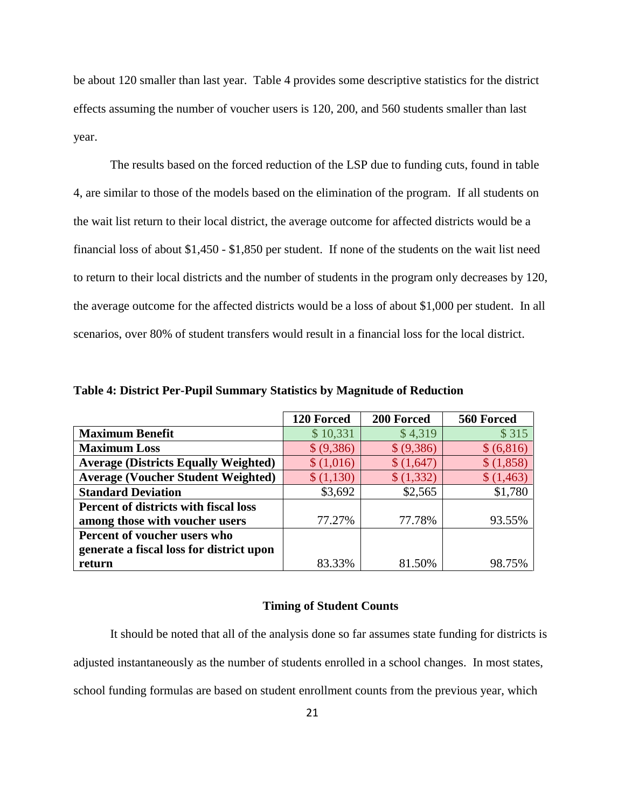be about 120 smaller than last year. Table 4 provides some descriptive statistics for the district effects assuming the number of voucher users is 120, 200, and 560 students smaller than last year.

The results based on the forced reduction of the LSP due to funding cuts, found in table 4, are similar to those of the models based on the elimination of the program. If all students on the wait list return to their local district, the average outcome for affected districts would be a financial loss of about \$1,450 - \$1,850 per student. If none of the students on the wait list need to return to their local districts and the number of students in the program only decreases by 120, the average outcome for the affected districts would be a loss of about \$1,000 per student. In all scenarios, over 80% of student transfers would result in a financial loss for the local district.

|                                              | 120 Forced | 200 Forced | 560 Forced |
|----------------------------------------------|------------|------------|------------|
| <b>Maximum Benefit</b>                       | \$10,331   | \$4,319    | \$315      |
| <b>Maximum Loss</b>                          | \$ (9,386) | \$ (9,386) | \$ (6,816) |
| <b>Average (Districts Equally Weighted)</b>  | \$(1,016)  | \$(1,647)  | \$(1,858)  |
| <b>Average (Voucher Student Weighted)</b>    | \$(1,130)  | \$ (1,332) | \$(1,463)  |
| <b>Standard Deviation</b>                    | \$3,692    | \$2,565    | \$1,780    |
| <b>Percent of districts with fiscal loss</b> |            |            |            |
| among those with voucher users               | 77.27%     | 77.78%     | 93.55%     |
| Percent of voucher users who                 |            |            |            |
| generate a fiscal loss for district upon     |            |            |            |
| return                                       | 83.33%     | 81.50%     | 98.75%     |

**Table 4: District Per-Pupil Summary Statistics by Magnitude of Reduction**

#### **Timing of Student Counts**

It should be noted that all of the analysis done so far assumes state funding for districts is adjusted instantaneously as the number of students enrolled in a school changes. In most states, school funding formulas are based on student enrollment counts from the previous year, which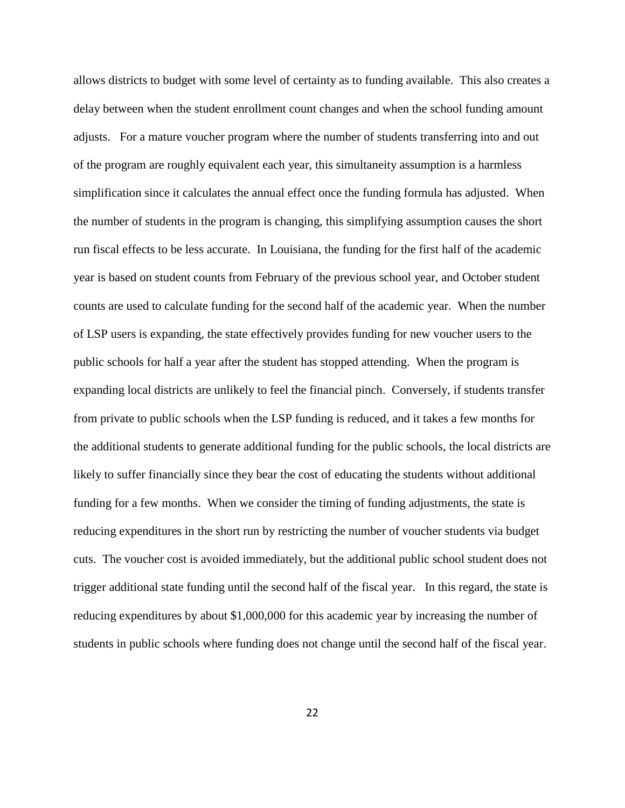allows districts to budget with some level of certainty as to funding available. This also creates a delay between when the student enrollment count changes and when the school funding amount adjusts. For a mature voucher program where the number of students transferring into and out of the program are roughly equivalent each year, this simultaneity assumption is a harmless simplification since it calculates the annual effect once the funding formula has adjusted. When the number of students in the program is changing, this simplifying assumption causes the short run fiscal effects to be less accurate. In Louisiana, the funding for the first half of the academic year is based on student counts from February of the previous school year, and October student counts are used to calculate funding for the second half of the academic year. When the number of LSP users is expanding, the state effectively provides funding for new voucher users to the public schools for half a year after the student has stopped attending. When the program is expanding local districts are unlikely to feel the financial pinch. Conversely, if students transfer from private to public schools when the LSP funding is reduced, and it takes a few months for the additional students to generate additional funding for the public schools, the local districts are likely to suffer financially since they bear the cost of educating the students without additional funding for a few months. When we consider the timing of funding adjustments, the state is reducing expenditures in the short run by restricting the number of voucher students via budget cuts. The voucher cost is avoided immediately, but the additional public school student does not trigger additional state funding until the second half of the fiscal year. In this regard, the state is reducing expenditures by about \$1,000,000 for this academic year by increasing the number of students in public schools where funding does not change until the second half of the fiscal year.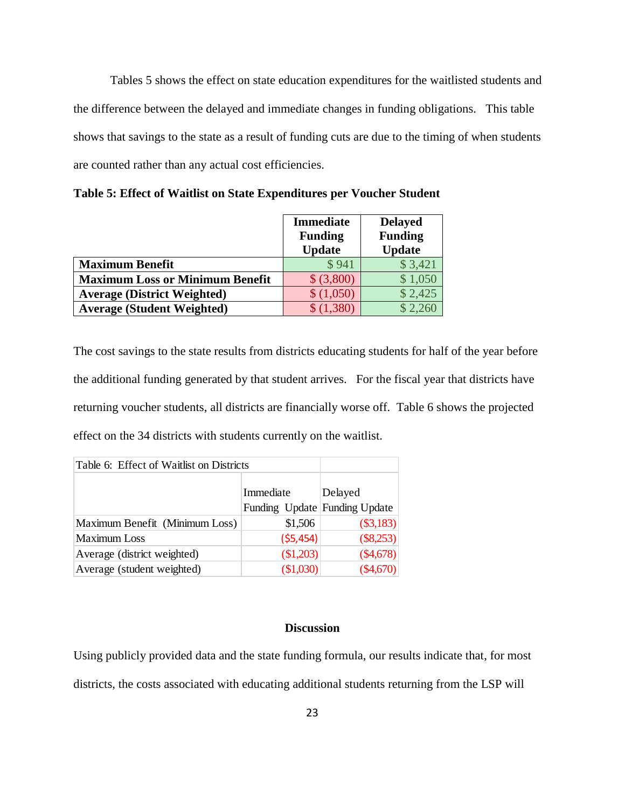Tables 5 shows the effect on state education expenditures for the waitlisted students and the difference between the delayed and immediate changes in funding obligations. This table shows that savings to the state as a result of funding cuts are due to the timing of when students are counted rather than any actual cost efficiencies.

|                                        | <b>Immediate</b> | <b>Delayed</b> |
|----------------------------------------|------------------|----------------|
|                                        | <b>Funding</b>   | <b>Funding</b> |
|                                        | <b>Update</b>    | <b>Update</b>  |
| <b>Maximum Benefit</b>                 | \$941            | \$3,421        |
| <b>Maximum Loss or Minimum Benefit</b> | \$ (3,800)       | \$1,050        |
| <b>Average (District Weighted)</b>     | \$(1,050)        | \$2,425        |
| <b>Average (Student Weighted)</b>      | \$(1,380)        |                |

**Table 5: Effect of Waitlist on State Expenditures per Voucher Student**

The cost savings to the state results from districts educating students for half of the year before the additional funding generated by that student arrives. For the fiscal year that districts have returning voucher students, all districts are financially worse off. Table 6 shows the projected effect on the 34 districts with students currently on the waitlist.

| Table 6: Effect of Waitlist on Districts |                               |           |
|------------------------------------------|-------------------------------|-----------|
|                                          | Immediate                     | Delayed   |
|                                          | Funding Update Funding Update |           |
| Maximum Benefit (Minimum Loss)           | \$1,506                       | (\$3,183) |
| <b>Maximum Loss</b>                      | (55, 454)                     | (\$8,253) |
| Average (district weighted)              | \$1,203)                      | (\$4,678) |
| Average (student weighted)               | (\$1,030)                     | (\$4,670) |

#### **Discussion**

Using publicly provided data and the state funding formula, our results indicate that, for most districts, the costs associated with educating additional students returning from the LSP will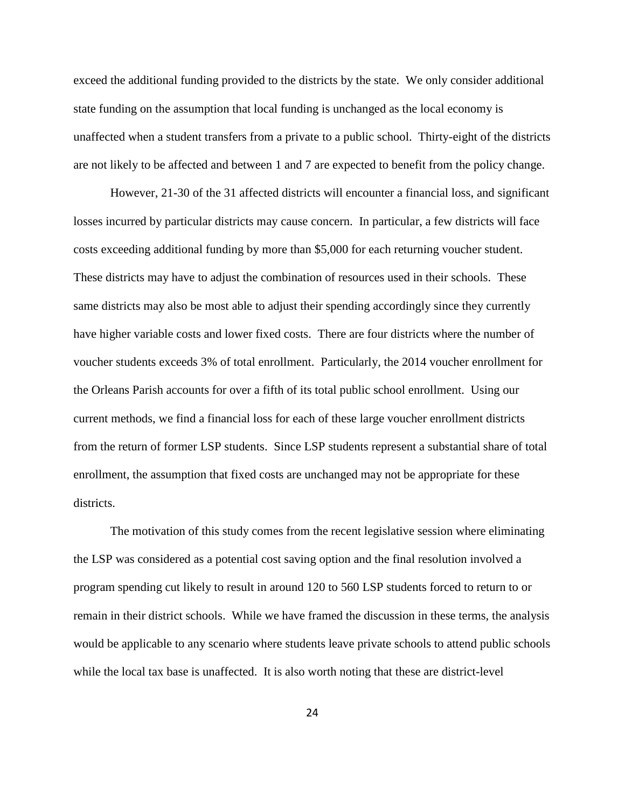exceed the additional funding provided to the districts by the state. We only consider additional state funding on the assumption that local funding is unchanged as the local economy is unaffected when a student transfers from a private to a public school. Thirty-eight of the districts are not likely to be affected and between 1 and 7 are expected to benefit from the policy change.

However, 21-30 of the 31 affected districts will encounter a financial loss, and significant losses incurred by particular districts may cause concern. In particular, a few districts will face costs exceeding additional funding by more than \$5,000 for each returning voucher student. These districts may have to adjust the combination of resources used in their schools. These same districts may also be most able to adjust their spending accordingly since they currently have higher variable costs and lower fixed costs. There are four districts where the number of voucher students exceeds 3% of total enrollment. Particularly, the 2014 voucher enrollment for the Orleans Parish accounts for over a fifth of its total public school enrollment. Using our current methods, we find a financial loss for each of these large voucher enrollment districts from the return of former LSP students. Since LSP students represent a substantial share of total enrollment, the assumption that fixed costs are unchanged may not be appropriate for these districts.

The motivation of this study comes from the recent legislative session where eliminating the LSP was considered as a potential cost saving option and the final resolution involved a program spending cut likely to result in around 120 to 560 LSP students forced to return to or remain in their district schools. While we have framed the discussion in these terms, the analysis would be applicable to any scenario where students leave private schools to attend public schools while the local tax base is unaffected. It is also worth noting that these are district-level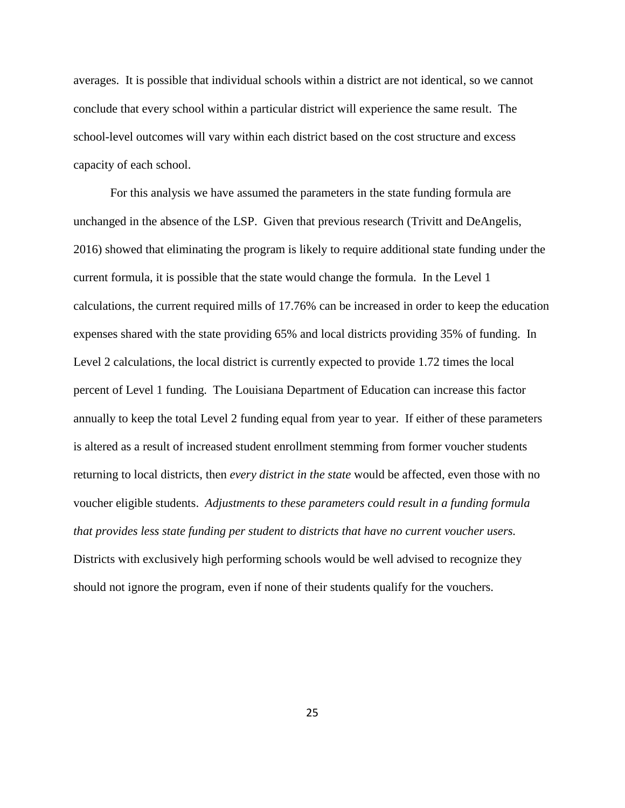averages. It is possible that individual schools within a district are not identical, so we cannot conclude that every school within a particular district will experience the same result. The school-level outcomes will vary within each district based on the cost structure and excess capacity of each school.

For this analysis we have assumed the parameters in the state funding formula are unchanged in the absence of the LSP. Given that previous research (Trivitt and DeAngelis, 2016) showed that eliminating the program is likely to require additional state funding under the current formula, it is possible that the state would change the formula. In the Level 1 calculations, the current required mills of 17.76% can be increased in order to keep the education expenses shared with the state providing 65% and local districts providing 35% of funding. In Level 2 calculations, the local district is currently expected to provide 1.72 times the local percent of Level 1 funding. The Louisiana Department of Education can increase this factor annually to keep the total Level 2 funding equal from year to year. If either of these parameters is altered as a result of increased student enrollment stemming from former voucher students returning to local districts, then *every district in the state* would be affected, even those with no voucher eligible students. *Adjustments to these parameters could result in a funding formula that provides less state funding per student to districts that have no current voucher users.* Districts with exclusively high performing schools would be well advised to recognize they should not ignore the program, even if none of their students qualify for the vouchers.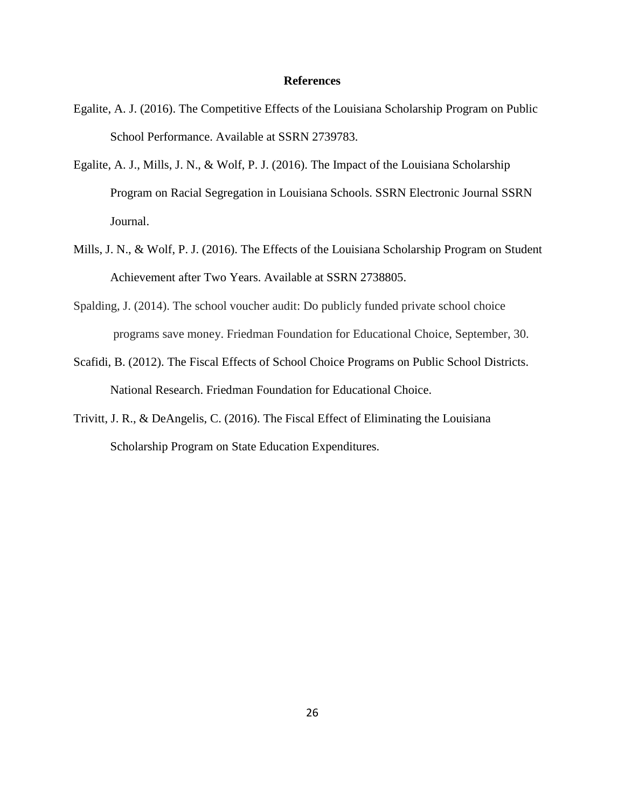#### **References**

- Egalite, A. J. (2016). The Competitive Effects of the Louisiana Scholarship Program on Public School Performance. Available at SSRN 2739783.
- Egalite, A. J., Mills, J. N., & Wolf, P. J. (2016). The Impact of the Louisiana Scholarship Program on Racial Segregation in Louisiana Schools. SSRN Electronic Journal SSRN Journal.
- Mills, J. N., & Wolf, P. J. (2016). The Effects of the Louisiana Scholarship Program on Student Achievement after Two Years. Available at SSRN 2738805.
- Spalding, J. (2014). The school voucher audit: Do publicly funded private school choice programs save money. Friedman Foundation for Educational Choice, September, 30.
- Scafidi, B. (2012). The Fiscal Effects of School Choice Programs on Public School Districts. National Research. Friedman Foundation for Educational Choice.
- Trivitt, J. R., & DeAngelis, C. (2016). The Fiscal Effect of Eliminating the Louisiana Scholarship Program on State Education Expenditures.